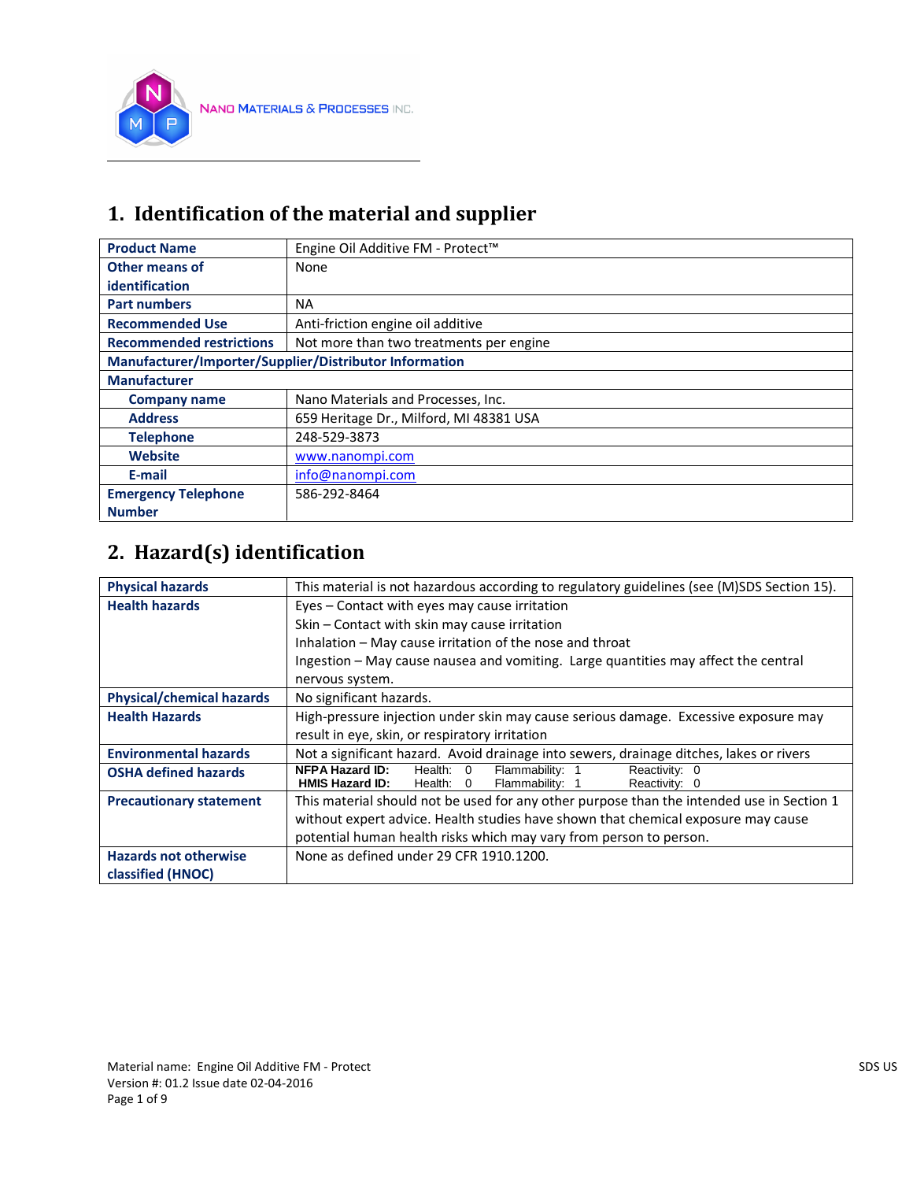

## **1. Identification of the material and supplier**

| <b>Product Name</b>                                    | Engine Oil Additive FM - Protect™       |  |
|--------------------------------------------------------|-----------------------------------------|--|
| Other means of                                         | None                                    |  |
| identification                                         |                                         |  |
| <b>Part numbers</b>                                    | <b>NA</b>                               |  |
| <b>Recommended Use</b>                                 | Anti-friction engine oil additive       |  |
| <b>Recommended restrictions</b>                        | Not more than two treatments per engine |  |
| Manufacturer/Importer/Supplier/Distributor Information |                                         |  |
| <b>Manufacturer</b>                                    |                                         |  |
| <b>Company name</b>                                    | Nano Materials and Processes, Inc.      |  |
| <b>Address</b>                                         | 659 Heritage Dr., Milford, MI 48381 USA |  |
| <b>Telephone</b>                                       | 248-529-3873                            |  |
| <b>Website</b>                                         | www.nanompi.com                         |  |
| E-mail                                                 | info@nanompi.com                        |  |
| <b>Emergency Telephone</b>                             | 586-292-8464                            |  |
| <b>Number</b>                                          |                                         |  |

# **2. Hazard(s) identification**

| <b>Physical hazards</b>          | This material is not hazardous according to regulatory guidelines (see (M)SDS Section 15). |  |  |
|----------------------------------|--------------------------------------------------------------------------------------------|--|--|
| <b>Health hazards</b>            | Eyes – Contact with eyes may cause irritation                                              |  |  |
|                                  | Skin - Contact with skin may cause irritation                                              |  |  |
|                                  | Inhalation - May cause irritation of the nose and throat                                   |  |  |
|                                  | Ingestion – May cause nausea and vomiting. Large quantities may affect the central         |  |  |
|                                  | nervous system.                                                                            |  |  |
| <b>Physical/chemical hazards</b> | No significant hazards.                                                                    |  |  |
| <b>Health Hazards</b>            | High-pressure injection under skin may cause serious damage. Excessive exposure may        |  |  |
|                                  | result in eye, skin, or respiratory irritation                                             |  |  |
| <b>Environmental hazards</b>     | Not a significant hazard. Avoid drainage into sewers, drainage ditches, lakes or rivers    |  |  |
| <b>OSHA defined hazards</b>      | <b>NFPA Hazard ID:</b><br>Reactivity: 0<br>Flammability: 1<br>Health: 0                    |  |  |
|                                  | <b>HMIS Hazard ID:</b><br>Flammability: 1<br>Health: 0<br>Reactivity: 0                    |  |  |
| <b>Precautionary statement</b>   | This material should not be used for any other purpose than the intended use in Section 1  |  |  |
|                                  | without expert advice. Health studies have shown that chemical exposure may cause          |  |  |
|                                  | potential human health risks which may vary from person to person.                         |  |  |
| <b>Hazards not otherwise</b>     | None as defined under 29 CFR 1910.1200.                                                    |  |  |
| classified (HNOC)                |                                                                                            |  |  |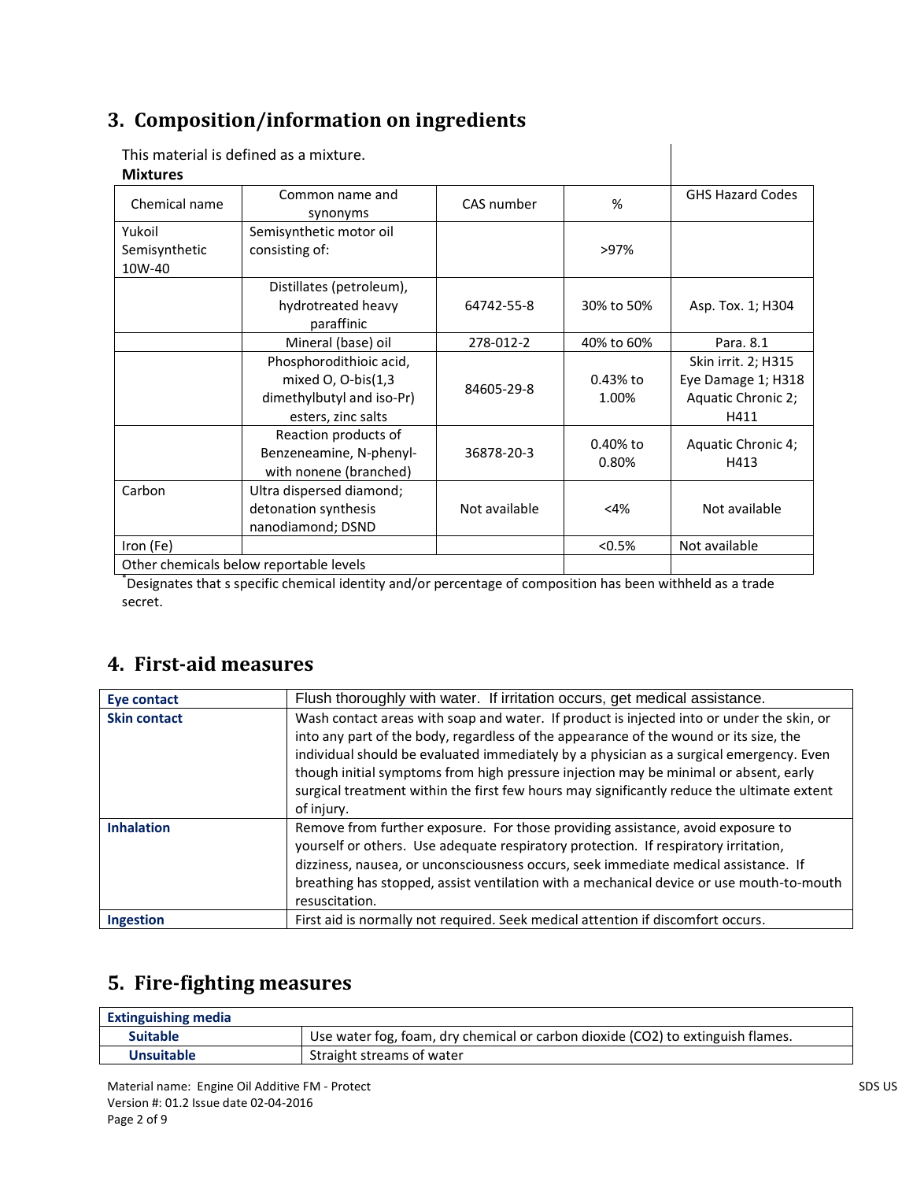## **3. Composition/information on ingredients**

| <b>Mixtures</b>                         | This material is defined as a mixture.                                                           |               |                     |                                                                         |
|-----------------------------------------|--------------------------------------------------------------------------------------------------|---------------|---------------------|-------------------------------------------------------------------------|
| Chemical name                           | Common name and<br>synonyms                                                                      | CAS number    | %                   | <b>GHS Hazard Codes</b>                                                 |
| Yukoil<br>Semisynthetic<br>10W-40       | Semisynthetic motor oil<br>consisting of:                                                        | >97%          |                     |                                                                         |
|                                         | Distillates (petroleum),<br>hydrotreated heavy<br>paraffinic                                     | 64742-55-8    | 30% to 50%          | Asp. Tox. 1; H304                                                       |
|                                         | Mineral (base) oil                                                                               | 278-012-2     | 40% to 60%          | Para. 8.1                                                               |
|                                         | Phosphorodithioic acid,<br>mixed O, O-bis(1,3<br>dimethylbutyl and iso-Pr)<br>esters, zinc salts | 84605-29-8    | 0.43% to<br>1.00%   | Skin irrit. 2; H315<br>Eye Damage 1; H318<br>Aquatic Chronic 2;<br>H411 |
|                                         | Reaction products of<br>Benzeneamine, N-phenyl-<br>with nonene (branched)                        | 36878-20-3    | $0.40%$ to<br>0.80% | Aquatic Chronic 4;<br>H413                                              |
| Carbon                                  | Ultra dispersed diamond;<br>detonation synthesis<br>nanodiamond; DSND                            | Not available | <4%                 | Not available                                                           |
| Iron (Fe)                               |                                                                                                  |               | < 0.5%              | Not available                                                           |
| Other chemicals helow renortable levels |                                                                                                  |               |                     |                                                                         |

Other chemicals below reportable levels

\* Designates that s specific chemical identity and/or percentage of composition has been withheld as a trade secret.

## **4. First-aid measures**

| Eye contact         | Flush thoroughly with water. If irritation occurs, get medical assistance.                                                                                                                                                                                                                                                                                                                                                                                                        |  |  |
|---------------------|-----------------------------------------------------------------------------------------------------------------------------------------------------------------------------------------------------------------------------------------------------------------------------------------------------------------------------------------------------------------------------------------------------------------------------------------------------------------------------------|--|--|
| <b>Skin contact</b> | Wash contact areas with soap and water. If product is injected into or under the skin, or<br>into any part of the body, regardless of the appearance of the wound or its size, the<br>individual should be evaluated immediately by a physician as a surgical emergency. Even<br>though initial symptoms from high pressure injection may be minimal or absent, early<br>surgical treatment within the first few hours may significantly reduce the ultimate extent<br>of injury. |  |  |
| <b>Inhalation</b>   | Remove from further exposure. For those providing assistance, avoid exposure to<br>yourself or others. Use adequate respiratory protection. If respiratory irritation,<br>dizziness, nausea, or unconsciousness occurs, seek immediate medical assistance. If<br>breathing has stopped, assist ventilation with a mechanical device or use mouth-to-mouth<br>resuscitation.                                                                                                       |  |  |
| <b>Ingestion</b>    | First aid is normally not required. Seek medical attention if discomfort occurs.                                                                                                                                                                                                                                                                                                                                                                                                  |  |  |

## **5. Fire-fighting measures**

| <b>Extinguishing media</b> |                                                                                 |
|----------------------------|---------------------------------------------------------------------------------|
| <b>Suitable</b>            | Use water fog, foam, dry chemical or carbon dioxide (CO2) to extinguish flames. |
| Unsuitable                 | Straight streams of water                                                       |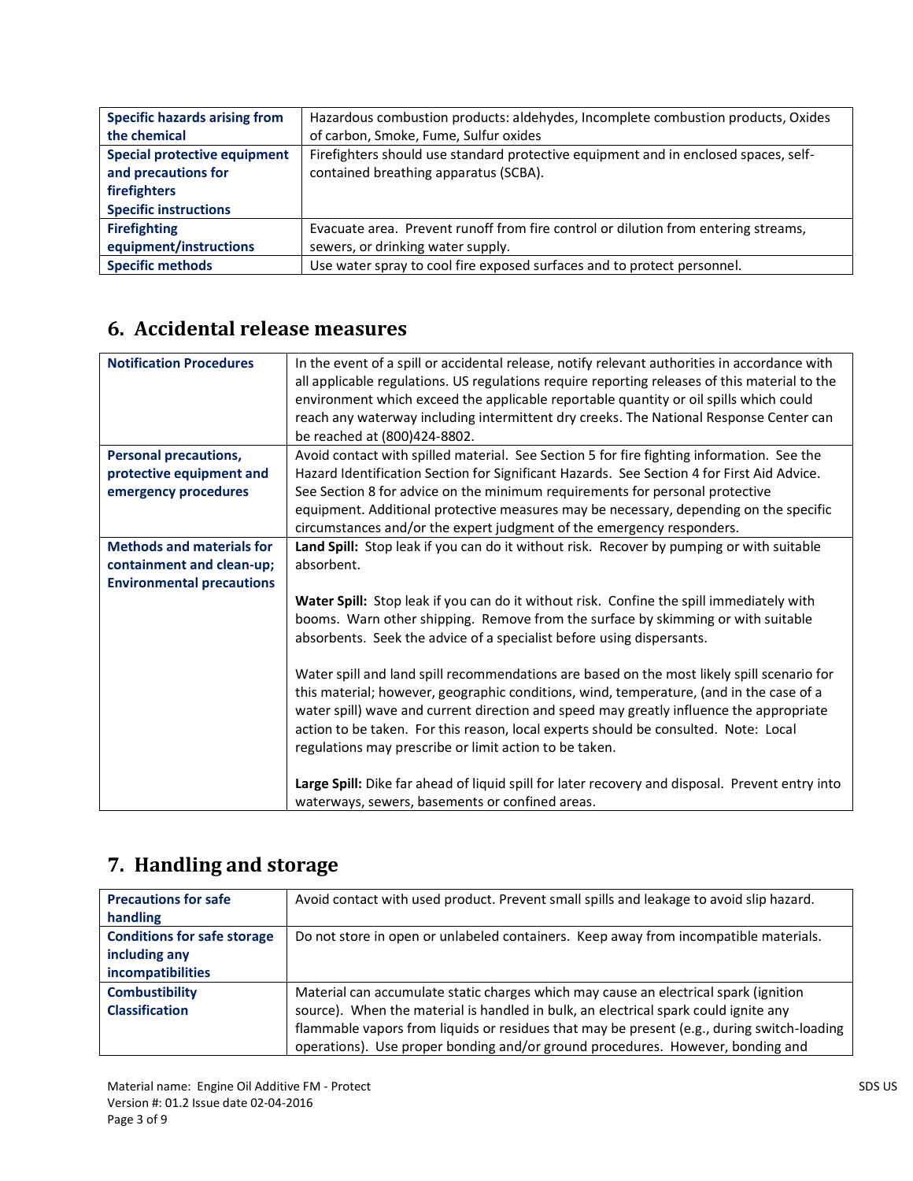| <b>Specific hazards arising from</b> | Hazardous combustion products: aldehydes, Incomplete combustion products, Oxides    |  |
|--------------------------------------|-------------------------------------------------------------------------------------|--|
| the chemical                         | of carbon, Smoke, Fume, Sulfur oxides                                               |  |
| <b>Special protective equipment</b>  | Firefighters should use standard protective equipment and in enclosed spaces, self- |  |
| and precautions for                  | contained breathing apparatus (SCBA).                                               |  |
| firefighters                         |                                                                                     |  |
| <b>Specific instructions</b>         |                                                                                     |  |
| <b>Firefighting</b>                  | Evacuate area. Prevent runoff from fire control or dilution from entering streams,  |  |
| equipment/instructions               | sewers, or drinking water supply.                                                   |  |
| <b>Specific methods</b>              | Use water spray to cool fire exposed surfaces and to protect personnel.             |  |

## **6. Accidental release measures**

| <b>Notification Procedures</b>   | In the event of a spill or accidental release, notify relevant authorities in accordance with   |  |  |
|----------------------------------|-------------------------------------------------------------------------------------------------|--|--|
|                                  |                                                                                                 |  |  |
|                                  | all applicable regulations. US regulations require reporting releases of this material to the   |  |  |
|                                  | environment which exceed the applicable reportable quantity or oil spills which could           |  |  |
|                                  | reach any waterway including intermittent dry creeks. The National Response Center can          |  |  |
|                                  | be reached at (800)424-8802.                                                                    |  |  |
| <b>Personal precautions,</b>     | Avoid contact with spilled material. See Section 5 for fire fighting information. See the       |  |  |
| protective equipment and         | Hazard Identification Section for Significant Hazards. See Section 4 for First Aid Advice.      |  |  |
| emergency procedures             | See Section 8 for advice on the minimum requirements for personal protective                    |  |  |
|                                  | equipment. Additional protective measures may be necessary, depending on the specific           |  |  |
|                                  | circumstances and/or the expert judgment of the emergency responders.                           |  |  |
| <b>Methods and materials for</b> | Land Spill: Stop leak if you can do it without risk. Recover by pumping or with suitable        |  |  |
| containment and clean-up;        | absorbent.                                                                                      |  |  |
|                                  |                                                                                                 |  |  |
| <b>Environmental precautions</b> |                                                                                                 |  |  |
|                                  | Water Spill: Stop leak if you can do it without risk. Confine the spill immediately with        |  |  |
|                                  | booms. Warn other shipping. Remove from the surface by skimming or with suitable                |  |  |
|                                  | absorbents. Seek the advice of a specialist before using dispersants.                           |  |  |
|                                  |                                                                                                 |  |  |
|                                  | Water spill and land spill recommendations are based on the most likely spill scenario for      |  |  |
|                                  | this material; however, geographic conditions, wind, temperature, (and in the case of a         |  |  |
|                                  | water spill) wave and current direction and speed may greatly influence the appropriate         |  |  |
|                                  | action to be taken. For this reason, local experts should be consulted. Note: Local             |  |  |
|                                  | regulations may prescribe or limit action to be taken.                                          |  |  |
|                                  |                                                                                                 |  |  |
|                                  |                                                                                                 |  |  |
|                                  | Large Spill: Dike far ahead of liquid spill for later recovery and disposal. Prevent entry into |  |  |
|                                  | waterways, sewers, basements or confined areas.                                                 |  |  |

# **7. Handling and storage**

| <b>Precautions for safe</b>        | Avoid contact with used product. Prevent small spills and leakage to avoid slip hazard.    |
|------------------------------------|--------------------------------------------------------------------------------------------|
| handling                           |                                                                                            |
| <b>Conditions for safe storage</b> | Do not store in open or unlabeled containers. Keep away from incompatible materials.       |
| including any                      |                                                                                            |
| incompatibilities                  |                                                                                            |
| <b>Combustibility</b>              | Material can accumulate static charges which may cause an electrical spark (ignition       |
| <b>Classification</b>              | source). When the material is handled in bulk, an electrical spark could ignite any        |
|                                    | flammable vapors from liquids or residues that may be present (e.g., during switch-loading |
|                                    | operations). Use proper bonding and/or ground procedures. However, bonding and             |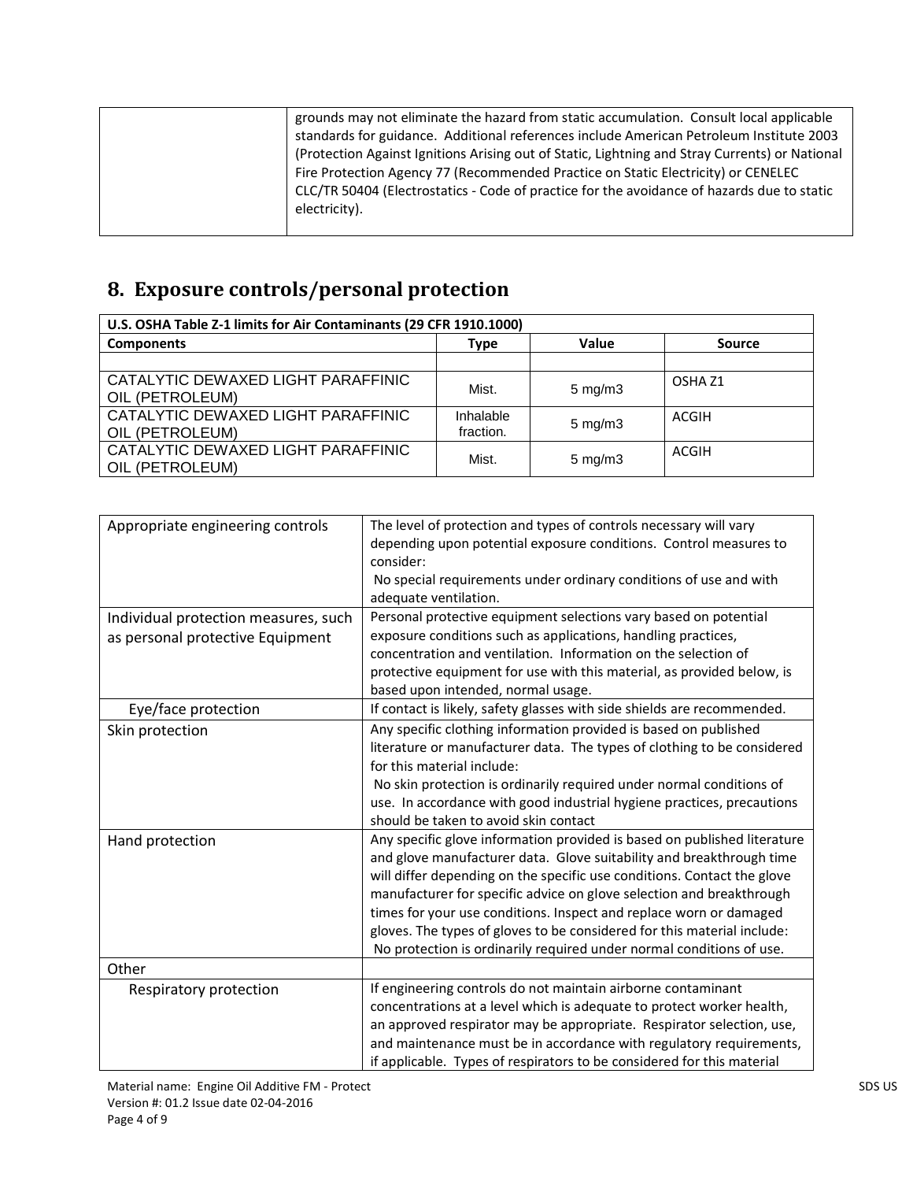|  | grounds may not eliminate the hazard from static accumulation. Consult local applicable        |
|--|------------------------------------------------------------------------------------------------|
|  | standards for guidance. Additional references include American Petroleum Institute 2003        |
|  | (Protection Against Ignitions Arising out of Static, Lightning and Stray Currents) or National |
|  | Fire Protection Agency 77 (Recommended Practice on Static Electricity) or CENELEC              |
|  | CLC/TR 50404 (Electrostatics - Code of practice for the avoidance of hazards due to static     |
|  | electricity).                                                                                  |
|  |                                                                                                |

# **8. Exposure controls/personal protection**

| U.S. OSHA Table Z-1 limits for Air Contaminants (29 CFR 1910.1000) |                        |                    |                    |
|--------------------------------------------------------------------|------------------------|--------------------|--------------------|
| <b>Components</b>                                                  | Type                   | Value              | <b>Source</b>      |
|                                                                    |                        |                    |                    |
| CATALYTIC DEWAXED LIGHT PARAFFINIC<br>OIL (PETROLEUM)              | Mist.                  | $5 \text{ mg/m}$ 3 | OSHA <sub>Z1</sub> |
| CATALYTIC DEWAXED LIGHT PARAFFINIC<br>OIL (PETROLEUM)              | Inhalable<br>fraction. | $5 \text{ mg/m}$ 3 | ACGIH              |
| CATALYTIC DEWAXED LIGHT PARAFFINIC<br>OIL (PETROLEUM)              | Mist.                  | $5 \text{ mg/m}$   | ACGIH              |

| Appropriate engineering controls                                         | The level of protection and types of controls necessary will vary<br>depending upon potential exposure conditions. Control measures to<br>consider:<br>No special requirements under ordinary conditions of use and with<br>adequate ventilation.                                                                                                                                                                                                                                                                            |
|--------------------------------------------------------------------------|------------------------------------------------------------------------------------------------------------------------------------------------------------------------------------------------------------------------------------------------------------------------------------------------------------------------------------------------------------------------------------------------------------------------------------------------------------------------------------------------------------------------------|
| Individual protection measures, such<br>as personal protective Equipment | Personal protective equipment selections vary based on potential<br>exposure conditions such as applications, handling practices,<br>concentration and ventilation. Information on the selection of<br>protective equipment for use with this material, as provided below, is<br>based upon intended, normal usage.                                                                                                                                                                                                          |
| Eye/face protection                                                      | If contact is likely, safety glasses with side shields are recommended.                                                                                                                                                                                                                                                                                                                                                                                                                                                      |
| Skin protection                                                          | Any specific clothing information provided is based on published<br>literature or manufacturer data. The types of clothing to be considered<br>for this material include:<br>No skin protection is ordinarily required under normal conditions of<br>use. In accordance with good industrial hygiene practices, precautions<br>should be taken to avoid skin contact                                                                                                                                                         |
| Hand protection                                                          | Any specific glove information provided is based on published literature<br>and glove manufacturer data. Glove suitability and breakthrough time<br>will differ depending on the specific use conditions. Contact the glove<br>manufacturer for specific advice on glove selection and breakthrough<br>times for your use conditions. Inspect and replace worn or damaged<br>gloves. The types of gloves to be considered for this material include:<br>No protection is ordinarily required under normal conditions of use. |
| Other                                                                    |                                                                                                                                                                                                                                                                                                                                                                                                                                                                                                                              |
| Respiratory protection                                                   | If engineering controls do not maintain airborne contaminant<br>concentrations at a level which is adequate to protect worker health,<br>an approved respirator may be appropriate. Respirator selection, use,<br>and maintenance must be in accordance with regulatory requirements,<br>if applicable. Types of respirators to be considered for this material                                                                                                                                                              |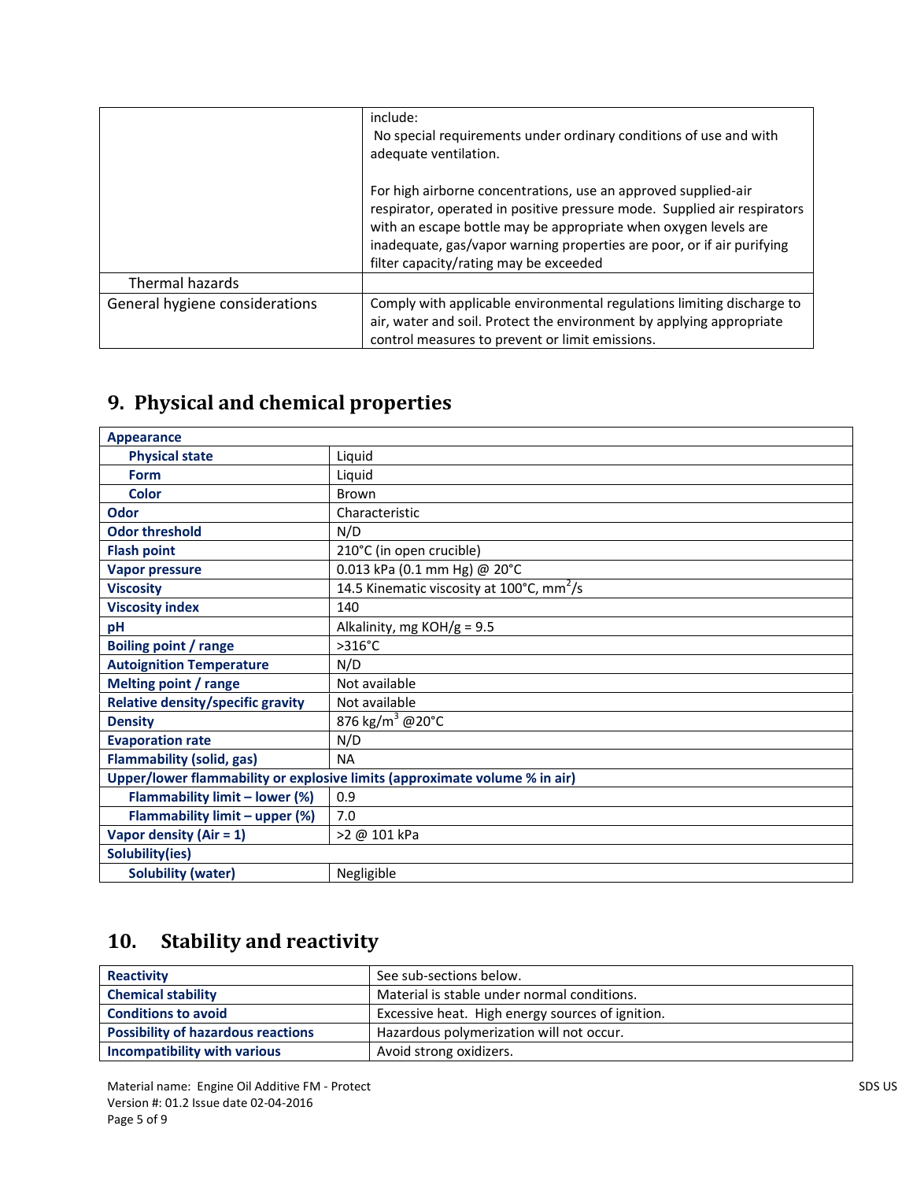|                                | include:<br>No special requirements under ordinary conditions of use and with<br>adequate ventilation.                                                                                                                                                                                                                            |
|--------------------------------|-----------------------------------------------------------------------------------------------------------------------------------------------------------------------------------------------------------------------------------------------------------------------------------------------------------------------------------|
|                                | For high airborne concentrations, use an approved supplied-air<br>respirator, operated in positive pressure mode. Supplied air respirators<br>with an escape bottle may be appropriate when oxygen levels are<br>inadequate, gas/vapor warning properties are poor, or if air purifying<br>filter capacity/rating may be exceeded |
| Thermal hazards                |                                                                                                                                                                                                                                                                                                                                   |
| General hygiene considerations | Comply with applicable environmental regulations limiting discharge to                                                                                                                                                                                                                                                            |
|                                | air, water and soil. Protect the environment by applying appropriate                                                                                                                                                                                                                                                              |
|                                | control measures to prevent or limit emissions.                                                                                                                                                                                                                                                                                   |

# **9. Physical and chemical properties**

| Appearance                                                                 |                                                       |
|----------------------------------------------------------------------------|-------------------------------------------------------|
| <b>Physical state</b>                                                      | Liquid                                                |
| <b>Form</b>                                                                | Liquid                                                |
| <b>Color</b>                                                               | Brown                                                 |
| <b>Odor</b>                                                                | Characteristic                                        |
| <b>Odor threshold</b>                                                      | N/D                                                   |
| <b>Flash point</b>                                                         | 210°C (in open crucible)                              |
| <b>Vapor pressure</b>                                                      | 0.013 kPa (0.1 mm Hg) @ 20°C                          |
| <b>Viscosity</b>                                                           | 14.5 Kinematic viscosity at 100°C, mm <sup>2</sup> /s |
| <b>Viscosity index</b>                                                     | 140                                                   |
| pH                                                                         | Alkalinity, mg $KOH/g = 9.5$                          |
| <b>Boiling point / range</b>                                               | $>316^{\circ}C$                                       |
| <b>Autoignition Temperature</b>                                            | N/D                                                   |
| <b>Melting point / range</b>                                               | Not available                                         |
| <b>Relative density/specific gravity</b>                                   | Not available                                         |
| <b>Density</b>                                                             | 876 kg/m <sup>3</sup> @20°C                           |
| <b>Evaporation rate</b>                                                    | N/D                                                   |
| <b>Flammability (solid, gas)</b>                                           | <b>NA</b>                                             |
| Upper/lower flammability or explosive limits (approximate volume % in air) |                                                       |
| Flammability limit - lower (%)                                             | 0.9                                                   |
| Flammability limit - upper (%)                                             | 7.0                                                   |
| Vapor density (Air = $1$ )                                                 | >2 @ 101 kPa                                          |
| Solubility(ies)                                                            |                                                       |
| <b>Solubility (water)</b>                                                  | Negligible                                            |

# **10. Stability and reactivity**

| <b>Reactivity</b>                         | See sub-sections below.                          |
|-------------------------------------------|--------------------------------------------------|
| <b>Chemical stability</b>                 | Material is stable under normal conditions.      |
| <b>Conditions to avoid</b>                | Excessive heat. High energy sources of ignition. |
| <b>Possibility of hazardous reactions</b> | Hazardous polymerization will not occur.         |
| Incompatibility with various              | Avoid strong oxidizers.                          |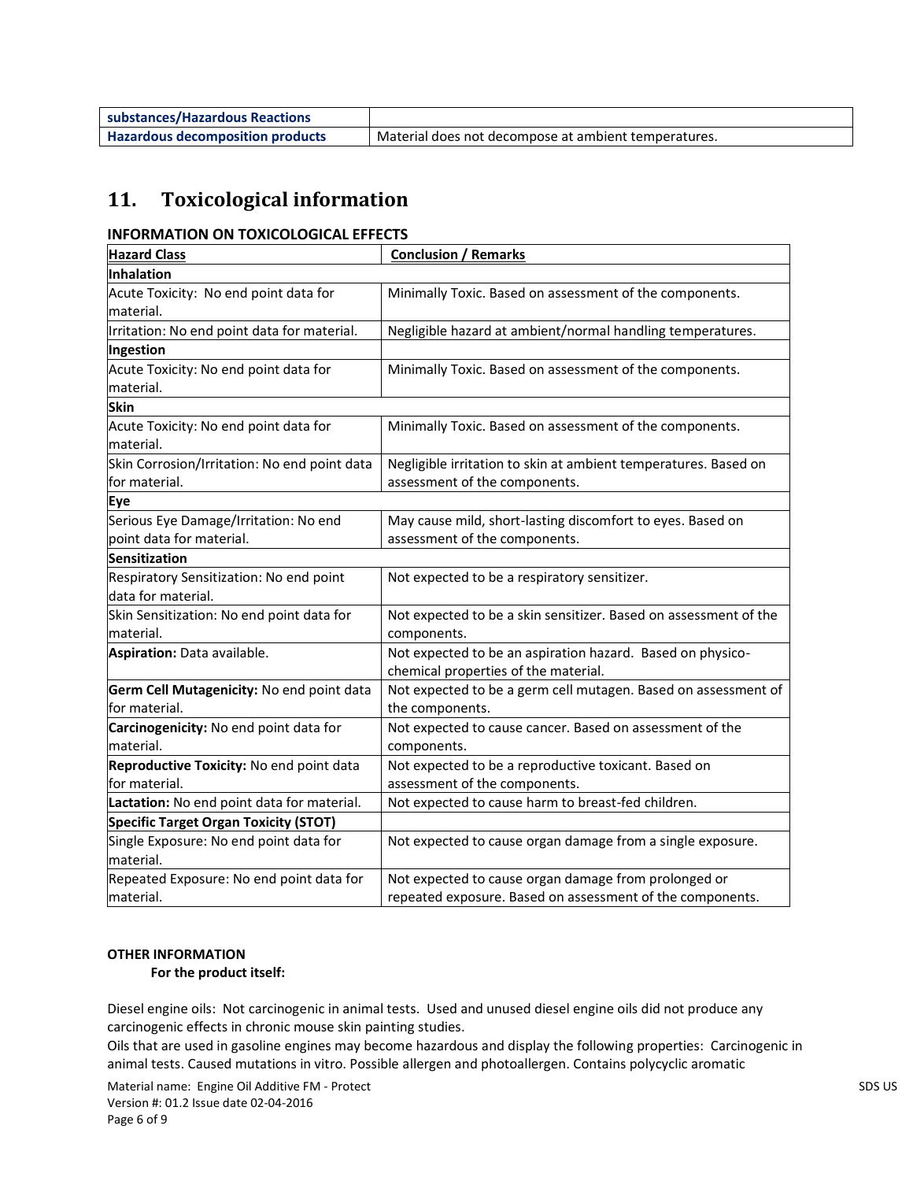| substances/Hazardous Reactions          |                                                      |
|-----------------------------------------|------------------------------------------------------|
| <b>Hazardous decomposition products</b> | Material does not decompose at ambient temperatures. |

## **11. Toxicological information**

### **INFORMATION ON TOXICOLOGICAL EFFECTS**

| <b>Hazard Class</b>                          | <b>Conclusion / Remarks</b>                                      |
|----------------------------------------------|------------------------------------------------------------------|
| <b>Inhalation</b>                            |                                                                  |
| Acute Toxicity: No end point data for        | Minimally Toxic. Based on assessment of the components.          |
| material.                                    |                                                                  |
| Irritation: No end point data for material.  | Negligible hazard at ambient/normal handling temperatures.       |
| Ingestion                                    |                                                                  |
| Acute Toxicity: No end point data for        | Minimally Toxic. Based on assessment of the components.          |
| material.                                    |                                                                  |
| <b>Skin</b>                                  |                                                                  |
| Acute Toxicity: No end point data for        | Minimally Toxic. Based on assessment of the components.          |
| material.                                    |                                                                  |
| Skin Corrosion/Irritation: No end point data | Negligible irritation to skin at ambient temperatures. Based on  |
| for material.                                | assessment of the components.                                    |
| Eye                                          |                                                                  |
| Serious Eye Damage/Irritation: No end        | May cause mild, short-lasting discomfort to eyes. Based on       |
| point data for material.                     | assessment of the components.                                    |
| <b>Sensitization</b>                         |                                                                  |
| Respiratory Sensitization: No end point      | Not expected to be a respiratory sensitizer.                     |
| data for material.                           |                                                                  |
| Skin Sensitization: No end point data for    | Not expected to be a skin sensitizer. Based on assessment of the |
| material.                                    | components.                                                      |
| Aspiration: Data available.                  | Not expected to be an aspiration hazard. Based on physico-       |
|                                              | chemical properties of the material.                             |
| Germ Cell Mutagenicity: No end point data    | Not expected to be a germ cell mutagen. Based on assessment of   |
| for material.                                | the components.                                                  |
| Carcinogenicity: No end point data for       | Not expected to cause cancer. Based on assessment of the         |
| material.                                    | components.                                                      |
| Reproductive Toxicity: No end point data     | Not expected to be a reproductive toxicant. Based on             |
| for material.                                | assessment of the components.                                    |
| Lactation: No end point data for material.   | Not expected to cause harm to breast-fed children.               |
| <b>Specific Target Organ Toxicity (STOT)</b> |                                                                  |
| Single Exposure: No end point data for       | Not expected to cause organ damage from a single exposure.       |
| material.                                    |                                                                  |
| Repeated Exposure: No end point data for     | Not expected to cause organ damage from prolonged or             |
| material.                                    | repeated exposure. Based on assessment of the components.        |

#### **OTHER INFORMATION**

 **For the product itself:** 

Diesel engine oils: Not carcinogenic in animal tests. Used and unused diesel engine oils did not produce any carcinogenic effects in chronic mouse skin painting studies.

Oils that are used in gasoline engines may become hazardous and display the following properties: Carcinogenic in animal tests. Caused mutations in vitro. Possible allergen and photoallergen. Contains polycyclic aromatic

Material name: Engine Oil Additive FM - Protect SDS US SDS US Version #: 01.2 Issue date 02-04-2016 Page 6 of 9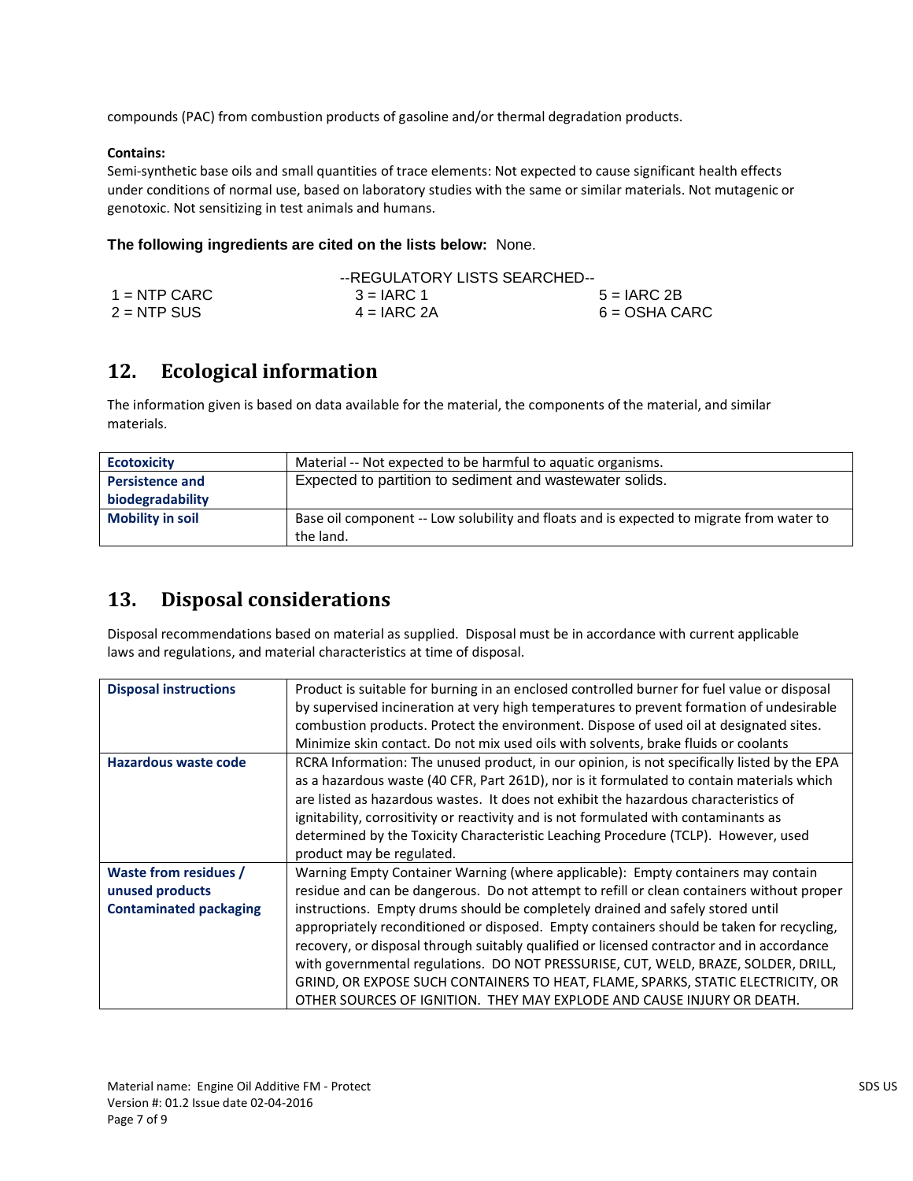compounds (PAC) from combustion products of gasoline and/or thermal degradation products.

#### **Contains:**

Semi-synthetic base oils and small quantities of trace elements: Not expected to cause significant health effects under conditions of normal use, based on laboratory studies with the same or similar materials. Not mutagenic or genotoxic. Not sensitizing in test animals and humans.

#### **The following ingredients are cited on the lists below:** None.

|                | --REGULATORY LISTS SEARCHED-- |                 |
|----------------|-------------------------------|-----------------|
| $1 =$ NTP CARC | $3 = IARC 1$                  | $5 = IARC 2B$   |
| $2 = NTP$ SUS  | $4 = IARC 2A$                 | $6 = OSHA CARC$ |

## **12. Ecological information**

The information given is based on data available for the material, the components of the material, and similar materials.

| <b>Ecotoxicity</b>      | Material -- Not expected to be harmful to aquatic organisms.                             |
|-------------------------|------------------------------------------------------------------------------------------|
| <b>Persistence and</b>  | Expected to partition to sediment and wastewater solids.                                 |
| biodegradability        |                                                                                          |
| <b>Mobility in soil</b> | Base oil component -- Low solubility and floats and is expected to migrate from water to |
|                         | the land.                                                                                |

### **13. Disposal considerations**

Disposal recommendations based on material as supplied. Disposal must be in accordance with current applicable laws and regulations, and material characteristics at time of disposal.

| <b>Disposal instructions</b>  | Product is suitable for burning in an enclosed controlled burner for fuel value or disposal |
|-------------------------------|---------------------------------------------------------------------------------------------|
|                               |                                                                                             |
|                               | by supervised incineration at very high temperatures to prevent formation of undesirable    |
|                               | combustion products. Protect the environment. Dispose of used oil at designated sites.      |
|                               | Minimize skin contact. Do not mix used oils with solvents, brake fluids or coolants         |
| Hazardous waste code          | RCRA Information: The unused product, in our opinion, is not specifically listed by the EPA |
|                               | as a hazardous waste (40 CFR, Part 261D), nor is it formulated to contain materials which   |
|                               | are listed as hazardous wastes. It does not exhibit the hazardous characteristics of        |
|                               | ignitability, corrositivity or reactivity and is not formulated with contaminants as        |
|                               | determined by the Toxicity Characteristic Leaching Procedure (TCLP). However, used          |
|                               | product may be regulated.                                                                   |
| Waste from residues /         | Warning Empty Container Warning (where applicable): Empty containers may contain            |
| unused products               | residue and can be dangerous. Do not attempt to refill or clean containers without proper   |
| <b>Contaminated packaging</b> | instructions. Empty drums should be completely drained and safely stored until              |
|                               | appropriately reconditioned or disposed. Empty containers should be taken for recycling,    |
|                               | recovery, or disposal through suitably qualified or licensed contractor and in accordance   |
|                               | with governmental regulations. DO NOT PRESSURISE, CUT, WELD, BRAZE, SOLDER, DRILL,          |
|                               | GRIND, OR EXPOSE SUCH CONTAINERS TO HEAT, FLAME, SPARKS, STATIC ELECTRICITY, OR             |
|                               | OTHER SOURCES OF IGNITION. THEY MAY EXPLODE AND CAUSE INJURY OR DEATH.                      |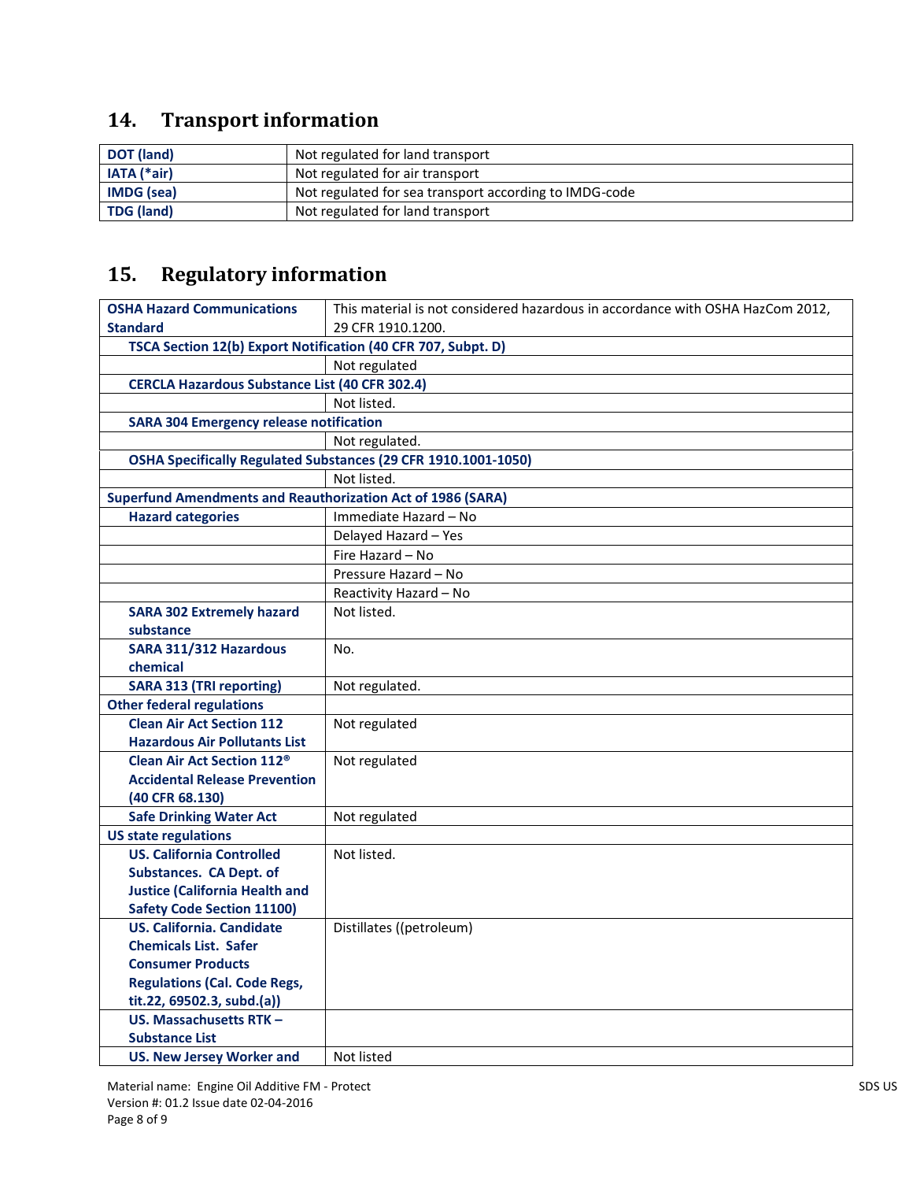# **14. Transport information**

| DOT (land)         | Not regulated for land transport                       |
|--------------------|--------------------------------------------------------|
| <b>IATA</b> (*air) | Not regulated for air transport                        |
| <b>IMDG</b> (sea)  | Not regulated for sea transport according to IMDG-code |
| TDG (land)         | Not regulated for land transport                       |

# **15. Regulatory information**

| <b>OSHA Hazard Communications</b>                                  | This material is not considered hazardous in accordance with OSHA HazCom 2012, |
|--------------------------------------------------------------------|--------------------------------------------------------------------------------|
| <b>Standard</b>                                                    | 29 CFR 1910.1200.                                                              |
| TSCA Section 12(b) Export Notification (40 CFR 707, Subpt. D)      |                                                                                |
|                                                                    | Not regulated                                                                  |
| <b>CERCLA Hazardous Substance List (40 CFR 302.4)</b>              |                                                                                |
|                                                                    | Not listed.                                                                    |
| <b>SARA 304 Emergency release notification</b>                     |                                                                                |
|                                                                    | Not regulated.                                                                 |
|                                                                    | OSHA Specifically Regulated Substances (29 CFR 1910.1001-1050)                 |
|                                                                    | Not listed.                                                                    |
| <b>Superfund Amendments and Reauthorization Act of 1986 (SARA)</b> |                                                                                |
| <b>Hazard categories</b>                                           | Immediate Hazard - No                                                          |
|                                                                    | Delayed Hazard - Yes                                                           |
|                                                                    | Fire Hazard - No                                                               |
|                                                                    | Pressure Hazard - No                                                           |
|                                                                    | Reactivity Hazard - No                                                         |
| <b>SARA 302 Extremely hazard</b>                                   | Not listed.                                                                    |
| substance                                                          |                                                                                |
| SARA 311/312 Hazardous                                             | No.                                                                            |
| chemical                                                           |                                                                                |
| <b>SARA 313 (TRI reporting)</b>                                    | Not regulated.                                                                 |
| <b>Other federal regulations</b>                                   |                                                                                |
| <b>Clean Air Act Section 112</b>                                   | Not regulated                                                                  |
| <b>Hazardous Air Pollutants List</b>                               |                                                                                |
| <b>Clean Air Act Section 112<sup>®</sup></b>                       | Not regulated                                                                  |
| <b>Accidental Release Prevention</b>                               |                                                                                |
| (40 CFR 68.130)                                                    |                                                                                |
| <b>Safe Drinking Water Act</b>                                     | Not regulated                                                                  |
| <b>US state regulations</b>                                        |                                                                                |
| <b>US. California Controlled</b>                                   | Not listed.                                                                    |
| <b>Substances. CA Dept. of</b>                                     |                                                                                |
| <b>Justice (California Health and</b>                              |                                                                                |
| <b>Safety Code Section 11100)</b>                                  |                                                                                |
| <b>US. California. Candidate</b>                                   | Distillates ((petroleum)                                                       |
| <b>Chemicals List. Safer</b>                                       |                                                                                |
| <b>Consumer Products</b>                                           |                                                                                |
| <b>Regulations (Cal. Code Regs,</b>                                |                                                                                |
| tit.22, 69502.3, subd.(a))<br><b>US. Massachusetts RTK-</b>        |                                                                                |
|                                                                    |                                                                                |
| <b>Substance List</b>                                              |                                                                                |
| <b>US. New Jersey Worker and</b>                                   | Not listed                                                                     |